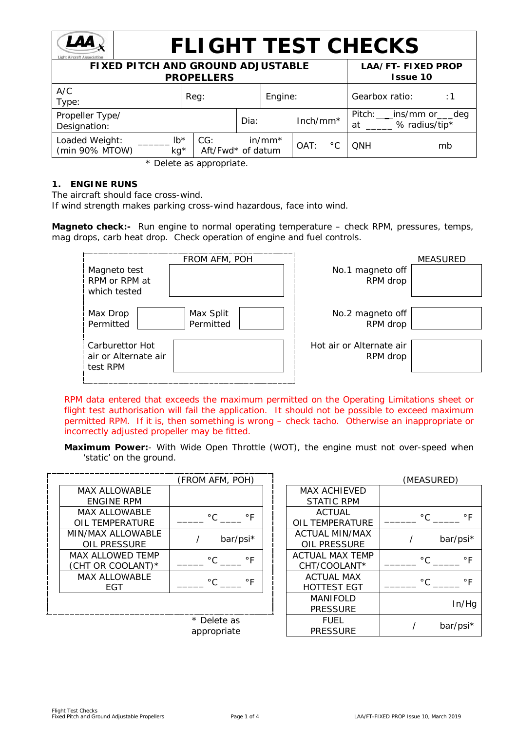

# **FLIGHT TEST CHECKS**

| <b>FIXED PITCH AND GROUND ADJUSTABLE</b><br><b>PROPELLERS</b> |                          |      |           |            |               |                | <b>LAA/FT-FIXED PROP</b><br><b>Issue 10</b>   |
|---------------------------------------------------------------|--------------------------|------|-----------|------------|---------------|----------------|-----------------------------------------------|
| A/C<br>Type:                                                  | Reg:                     |      | Engine:   |            |               | Gearbox ratio: | : 1                                           |
| Propeller Type/<br>Designation:                               |                          | Dia: |           | $Inch/mm*$ |               | at             | Pitch: ___ ins/mm or ___ deg<br>% radius/tip* |
| Loaded Weight:<br>$lb*$<br>(min 90% MTOW)<br>$kg*$            | CG:<br>Aft/Fwd* of datum |      | $in/mm^*$ | OAT:       | $^{\circ}$ C. | ONH            | mb                                            |

\* Delete as appropriate.

# **1. ENGINE RUNS**

The aircraft should face cross-wind.

If wind strength makes parking cross-wind hazardous, face into wind.

**Magneto check:-** Run engine to normal operating temperature – check RPM, pressures, temps, mag drops, carb heat drop. Check operation of engine and fuel controls.

|                                      | <b>MEASURED</b> |
|--------------------------------------|-----------------|
| No.1 magneto off<br>RPM drop         |                 |
| No.2 magneto off<br>RPM drop         |                 |
| Hot air or Alternate air<br>RPM drop |                 |
|                                      |                 |

*RPM data entered that exceeds the maximum permitted on the Operating Limitations sheet or flight test authorisation will fail the application. It should not be possible to exceed maximum permitted RPM. If it is, then something is wrong – check tacho. Otherwise an inappropriate or incorrectly adjusted propeller may be fitted.*

**Maximum Power:**- With Wide Open Throttle (WOT), the engine must not over-speed when 'static' on the ground.

|                      | (FROM AFM, POH)              |                        |
|----------------------|------------------------------|------------------------|
| <b>MAX ALLOWABLE</b> |                              | <b>MAX ACHIFVED</b>    |
| ENGINE RPM           |                              | <b>STATIC RPM</b>      |
| MAX ALLOWABLE        | $^{\circ}$ C<br>$\circ$ F    | ACTUAL                 |
| OIL TEMPERATURE      |                              | OIL TEMPERATURE        |
| MIN/MAX ALLOWABLE    |                              | <b>ACTUAL MIN/MAX</b>  |
| OIL PRESSURE         | bar/psi*                     | OIL PRESSURE           |
| MAX ALLOWED TEMP     | $^{\circ}$ C.<br>$\circ$ F   | <b>ACTUAL MAX TEMP</b> |
| (CHT OR COOLANT)*    |                              | CHT/COOLANT*           |
| <b>MAX ALLOWABLE</b> | $^{\circ}$ C<br>$^{\circ}$ F | <b>ACTUAL MAX</b>      |
| EGT                  |                              | <b>HOTTEST EGT</b>     |
|                      |                              | <b>MANIFOLD</b>        |
|                      |                              | <b>PRESSURE</b>        |
|                      | Delete as                    | <b>FUFI</b>            |

| (FROM AFM, POH)            | (MEASURED)                              |                           |  |  |  |
|----------------------------|-----------------------------------------|---------------------------|--|--|--|
|                            | <b>MAX ACHIEVED</b>                     |                           |  |  |  |
|                            | <b>STATIC RPM</b>                       |                           |  |  |  |
| $\circ$ F<br>$^{\circ}$ C  | <b>ACTUAL</b><br><b>OIL TEMPERATURE</b> | $^{\circ}$ C<br>$\circ$ F |  |  |  |
| bar/psi*                   | <b>ACTUAL MIN/MAX</b><br>OIL PRESSURE   | bar/psi*                  |  |  |  |
| $\circ$ F<br>$^{\circ}$ C. | <b>ACTUAL MAX TEMP</b><br>CHT/COOLANT*  | $^{\circ}$ C.<br>۰F       |  |  |  |
| $\circ$ F<br>°C.           | <b>ACTUAL MAX</b><br><b>HOTTEST EGT</b> | $^{\circ}$ C.<br>۰F       |  |  |  |
|                            | <b>MANIFOLD</b><br><b>PRESSURE</b>      | In/Hg                     |  |  |  |
| * Delete as<br>appropriate | FUEL<br><b>PRESSURE</b>                 | bar/psi*                  |  |  |  |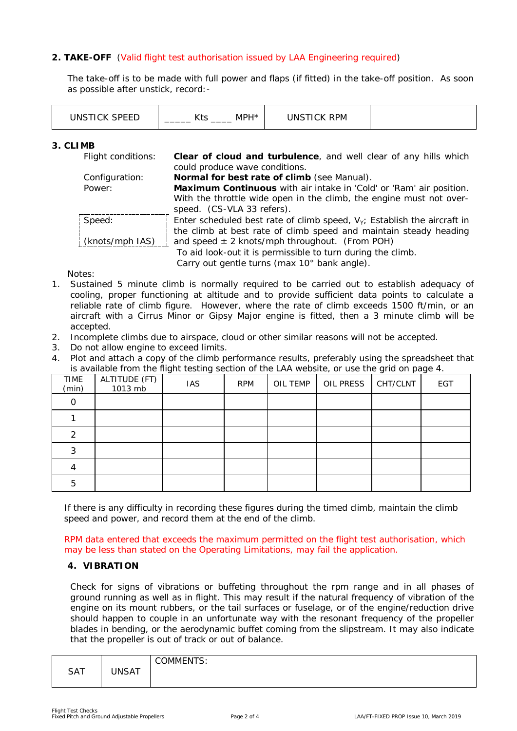# **2. TAKE-OFF** (Valid flight test authorisation issued by LAA Engineering required)

The take-off is to be made with full power and flaps (if fitted) in the take-off position. As soon as possible after unstick, record:-

| <b>JOFFF</b><br>INS1 | . וחי<br>MP.<br>_<br>. | ו <sub>PM</sub><br>`K.<br>INS L<br>- 14 |  |
|----------------------|------------------------|-----------------------------------------|--|
|----------------------|------------------------|-----------------------------------------|--|

### **3. CLIMB**

| Flight conditions: | Clear of cloud and turbulence, and well clear of any hills which            |
|--------------------|-----------------------------------------------------------------------------|
|                    | could produce wave conditions.                                              |
| Configuration:     | Normal for best rate of climb (see Manual).                                 |
| Power:             | Maximum Continuous with air intake in 'Cold' or 'Ram' air position.         |
|                    | With the throttle wide open in the climb, the engine must not over-         |
|                    | speed. (CS-VLA 33 refers).                                                  |
| Speed:             | Enter scheduled best rate of climb speed, $V_Y$ ; Establish the aircraft in |
|                    | the climb at best rate of climb speed and maintain steady heading           |
| (knots/mph IAS)    | and speed $\pm$ 2 knots/mph throughout. (From POH)                          |
|                    | To aid look-out it is permissible to turn during the climb.                 |
|                    | Carry out gentle turns (max 10° bank angle).                                |

Notes:

- 1. Sustained 5 minute climb is normally required to be carried out to establish adequacy of cooling, proper functioning at altitude and to provide sufficient data points to calculate a reliable rate of climb figure. However, where the rate of climb exceeds 1500 ft/min, or an aircraft with a Cirrus Minor or Gipsy Major engine is fitted, then a 3 minute climb will be accepted.
- 2. Incomplete climbs due to airspace, cloud or other similar reasons will not be accepted.
- 3. Do not allow engine to exceed limits.
- 4. Plot and attach a copy of the climb performance results, preferably using the spreadsheet that is available from the flight testing section of the LAA website, or use the grid on page 4.

| TIME<br>(min) | ALTITUDE (FT)<br>1013 mb | <b>IAS</b> | <b>RPM</b> | OIL TEMP | OIL PRESS | CHT/CLNT | -<br>EGT |
|---------------|--------------------------|------------|------------|----------|-----------|----------|----------|
|               |                          |            |            |          |           |          |          |
|               |                          |            |            |          |           |          |          |
| 2             |                          |            |            |          |           |          |          |
| っ             |                          |            |            |          |           |          |          |
|               |                          |            |            |          |           |          |          |
| 5             |                          |            |            |          |           |          |          |

If there is any difficulty in recording these figures during the timed climb, maintain the climb speed and power, and record them at the end of the climb.

RPM data entered that exceeds the maximum permitted on the flight test authorisation, which may be less than stated on the Operating Limitations, may fail the application.

## **4. VIBRATION**

Check for signs of vibrations or buffeting throughout the rpm range and in all phases of ground running as well as in flight. This may result if the natural frequency of vibration of the engine on its mount rubbers, or the tail surfaces or fuselage, or of the engine/reduction drive should happen to couple in an unfortunate way with the resonant frequency of the propeller blades in bending, or the aerodynamic buffet coming from the slipstream. It may also indicate that the propeller is out of track or out of balance.

|            |              | OMMENTS:<br>$\cdot$ |
|------------|--------------|---------------------|
| <b>SAT</b> | <b>JNSAT</b> |                     |
|            |              |                     |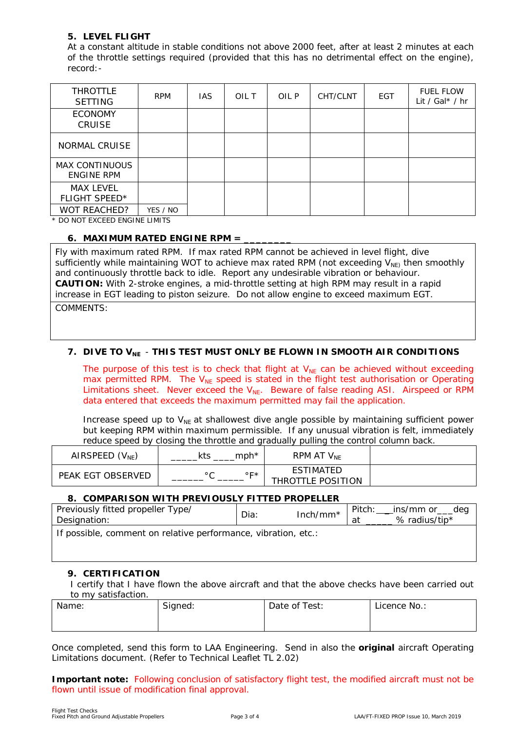# **5. LEVEL FLIGHT**

At a constant altitude in stable conditions not above 2000 feet, after at least 2 minutes at each of the throttle settings required (provided that this has no detrimental effect on the engine), record:-

| <b>THROTTLE</b><br><b>SETTING</b>   | <b>RPM</b> | IAS. | OIL T | OIL P | CHT/CLNT | <b>EGT</b> | <b>FUEL FLOW</b><br>Lit / Gal $*$ / hr |
|-------------------------------------|------------|------|-------|-------|----------|------------|----------------------------------------|
| <b>ECONOMY</b><br><b>CRUISE</b>     |            |      |       |       |          |            |                                        |
| NORMAL CRUISE                       |            |      |       |       |          |            |                                        |
| MAX CONTINUOUS<br><b>ENGINE RPM</b> |            |      |       |       |          |            |                                        |
| MAX LEVEL<br>FLIGHT SPEED*          |            |      |       |       |          |            |                                        |
| WOT REACHED?                        | YES / NO   |      |       |       |          |            |                                        |

\* DO NOT EXCEED ENGINE LIMITS

### **6. MAXIMUM RATED ENGINE RPM = \_\_\_\_\_\_\_\_**

Fly with maximum rated RPM. If max rated RPM cannot be achieved in level flight, dive sufficiently while maintaining WOT to achieve max rated RPM (not exceeding  $V_{\text{NE}}$  then smoothly and continuously throttle back to idle. Report any undesirable vibration or behaviour. **CAUTION:** With 2-stroke engines, a mid-throttle setting at high RPM may result in a rapid increase in EGT leading to piston seizure. Do not allow engine to exceed maximum EGT. COMMENTS:

## **7.** DIVE TO V<sub>NE</sub> - THIS TEST MUST ONLY BE FLOWN IN SMOOTH AIR CONDITIONS

The purpose of this test is to check that flight at  $V_{NE}$  can be achieved without exceeding max permitted RPM. The  $V_{NE}$  speed is stated in the flight test authorisation or Operating Limitations sheet. Never exceed the  $V_{NE}$ . Beware of false reading ASI. Airspeed or RPM data entered that exceeds the maximum permitted may fail the application.

Increase speed up to  $V_{NE}$  at shallowest dive angle possible by maintaining sufficient power but keeping RPM within maximum permissible. If any unusual vibration is felt, immediately reduce speed by closing the throttle and gradually pulling the control column back.

| AIRSPEED $(V_{NE})$ | $m$ ph $*$<br>kts | RPM AT $\mathsf{V}_{\mathsf{NE}}$ |  |
|---------------------|-------------------|-----------------------------------|--|
| PEAK EGT OBSERVED   | ◦⊏∗               | ESTIMATED<br>THROTTLE POSITION    |  |

### **8. COMPARISON WITH PREVIOUSLY FITTED PROPELLER**

| Previously fitted propeller Type/<br>Designation:              | Dia: | Inch/mm* | Pitch:<br>_ins/mm or___deg<br>% radius/tip*<br>at |
|----------------------------------------------------------------|------|----------|---------------------------------------------------|
| If possible, comment on relative performance, vibration, etc.: |      |          |                                                   |

### **9. CERTIFICATION**

I certify that I have flown the above aircraft and that the above checks have been carried out to my satisfaction.

| Name: | Signed: | Date of Test: | Licence No.: |
|-------|---------|---------------|--------------|
|       |         |               |              |

Once completed, send this form to LAA Engineering. Send in also the *original* aircraft Operating Limitations document. (Refer to Technical Leaflet TL 2.02)

**Important note:** Following conclusion of satisfactory flight test, the modified aircraft must not be flown until issue of modification final approval.